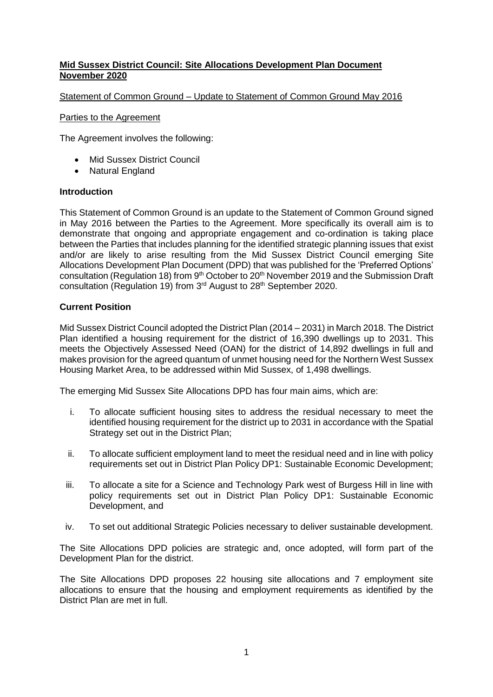# **Mid Sussex District Council: Site Allocations Development Plan Document November 2020**

#### Statement of Common Ground – Update to Statement of Common Ground May 2016

#### Parties to the Agreement

The Agreement involves the following:

- Mid Sussex District Council
- Natural England

#### **Introduction**

This Statement of Common Ground is an update to the Statement of Common Ground signed in May 2016 between the Parties to the Agreement. More specifically its overall aim is to demonstrate that ongoing and appropriate engagement and co-ordination is taking place between the Parties that includes planning for the identified strategic planning issues that exist and/or are likely to arise resulting from the Mid Sussex District Council emerging Site Allocations Development Plan Document (DPD) that was published for the 'Preferred Options' consultation (Regulation 18) from 9<sup>th</sup> October to 20<sup>th</sup> November 2019 and the Submission Draft consultation (Regulation 19) from 3<sup>rd</sup> August to 28<sup>th</sup> September 2020.

## **Current Position**

Mid Sussex District Council adopted the District Plan (2014 – 2031) in March 2018. The District Plan identified a housing requirement for the district of 16,390 dwellings up to 2031. This meets the Objectively Assessed Need (OAN) for the district of 14,892 dwellings in full and makes provision for the agreed quantum of unmet housing need for the Northern West Sussex Housing Market Area, to be addressed within Mid Sussex, of 1,498 dwellings.

The emerging Mid Sussex Site Allocations DPD has four main aims, which are:

- i. To allocate sufficient housing sites to address the residual necessary to meet the identified housing requirement for the district up to 2031 in accordance with the Spatial Strategy set out in the District Plan;
- ii. To allocate sufficient employment land to meet the residual need and in line with policy requirements set out in District Plan Policy DP1: Sustainable Economic Development;
- iii. To allocate a site for a Science and Technology Park west of Burgess Hill in line with policy requirements set out in District Plan Policy DP1: Sustainable Economic Development, and
- iv. To set out additional Strategic Policies necessary to deliver sustainable development.

The Site Allocations DPD policies are strategic and, once adopted, will form part of the Development Plan for the district.

The Site Allocations DPD proposes 22 housing site allocations and 7 employment site allocations to ensure that the housing and employment requirements as identified by the District Plan are met in full.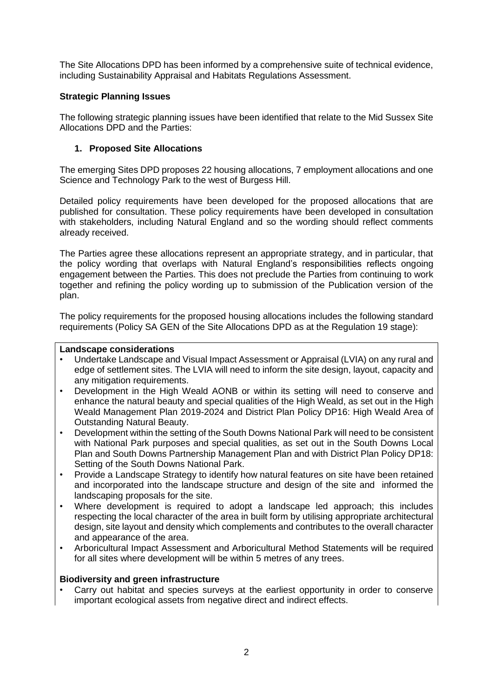The Site Allocations DPD has been informed by a comprehensive suite of technical evidence, including Sustainability Appraisal and Habitats Regulations Assessment.

# **Strategic Planning Issues**

The following strategic planning issues have been identified that relate to the Mid Sussex Site Allocations DPD and the Parties:

# **1. Proposed Site Allocations**

The emerging Sites DPD proposes 22 housing allocations, 7 employment allocations and one Science and Technology Park to the west of Burgess Hill.

Detailed policy requirements have been developed for the proposed allocations that are published for consultation. These policy requirements have been developed in consultation with stakeholders, including Natural England and so the wording should reflect comments already received.

The Parties agree these allocations represent an appropriate strategy, and in particular, that the policy wording that overlaps with Natural England's responsibilities reflects ongoing engagement between the Parties. This does not preclude the Parties from continuing to work together and refining the policy wording up to submission of the Publication version of the plan.

The policy requirements for the proposed housing allocations includes the following standard requirements (Policy SA GEN of the Site Allocations DPD as at the Regulation 19 stage):

#### **Landscape considerations**

- Undertake Landscape and Visual Impact Assessment or Appraisal (LVIA) on any rural and edge of settlement sites. The LVIA will need to inform the site design, layout, capacity and any mitigation requirements.
- Development in the High Weald AONB or within its setting will need to conserve and enhance the natural beauty and special qualities of the High Weald, as set out in the High Weald Management Plan 2019-2024 and District Plan Policy DP16: High Weald Area of Outstanding Natural Beauty.
- Development within the setting of the South Downs National Park will need to be consistent with National Park purposes and special qualities, as set out in the South Downs Local Plan and South Downs Partnership Management Plan and with District Plan Policy DP18: Setting of the South Downs National Park.
- Provide a Landscape Strategy to identify how natural features on site have been retained and incorporated into the landscape structure and design of the site and informed the landscaping proposals for the site.
- Where development is required to adopt a landscape led approach; this includes respecting the local character of the area in built form by utilising appropriate architectural design, site layout and density which complements and contributes to the overall character and appearance of the area.
- Arboricultural Impact Assessment and Arboricultural Method Statements will be required for all sites where development will be within 5 metres of any trees.

## **Biodiversity and green infrastructure**

Carry out habitat and species surveys at the earliest opportunity in order to conserve important ecological assets from negative direct and indirect effects.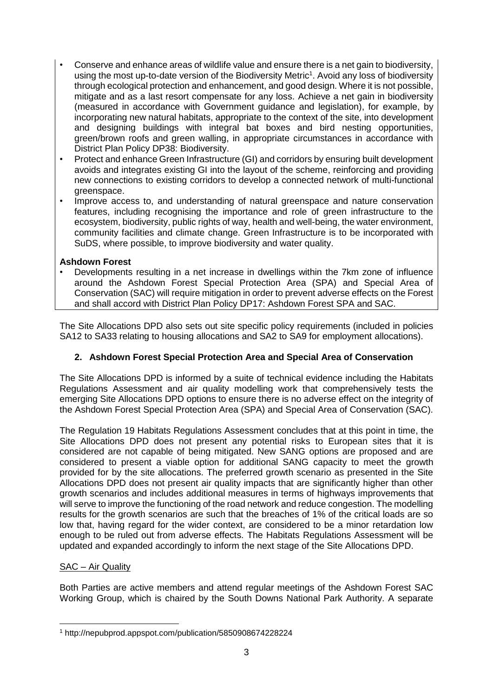- Conserve and enhance areas of wildlife value and ensure there is a net gain to biodiversity, using the most up-to-date version of the Biodiversity Metric<sup>1</sup>. Avoid any loss of biodiversity through ecological protection and enhancement, and good design. Where it is not possible, mitigate and as a last resort compensate for any loss. Achieve a net gain in biodiversity (measured in accordance with Government guidance and legislation), for example, by incorporating new natural habitats, appropriate to the context of the site, into development and designing buildings with integral bat boxes and bird nesting opportunities, green/brown roofs and green walling, in appropriate circumstances in accordance with District Plan Policy DP38: Biodiversity.
- Protect and enhance Green Infrastructure (GI) and corridors by ensuring built development avoids and integrates existing GI into the layout of the scheme, reinforcing and providing new connections to existing corridors to develop a connected network of multi-functional greenspace.
- Improve access to, and understanding of natural greenspace and nature conservation features, including recognising the importance and role of green infrastructure to the ecosystem, biodiversity, public rights of way, health and well-being, the water environment, community facilities and climate change. Green Infrastructure is to be incorporated with SuDS, where possible, to improve biodiversity and water quality.

# **Ashdown Forest**

• Developments resulting in a net increase in dwellings within the 7km zone of influence around the Ashdown Forest Special Protection Area (SPA) and Special Area of Conservation (SAC) will require mitigation in order to prevent adverse effects on the Forest and shall accord with District Plan Policy DP17: Ashdown Forest SPA and SAC.

The Site Allocations DPD also sets out site specific policy requirements (included in policies SA12 to SA33 relating to housing allocations and SA2 to SA9 for employment allocations).

# **2. Ashdown Forest Special Protection Area and Special Area of Conservation**

The Site Allocations DPD is informed by a suite of technical evidence including the Habitats Regulations Assessment and air quality modelling work that comprehensively tests the emerging Site Allocations DPD options to ensure there is no adverse effect on the integrity of the Ashdown Forest Special Protection Area (SPA) and Special Area of Conservation (SAC).

The Regulation 19 Habitats Regulations Assessment concludes that at this point in time, the Site Allocations DPD does not present any potential risks to European sites that it is considered are not capable of being mitigated. New SANG options are proposed and are considered to present a viable option for additional SANG capacity to meet the growth provided for by the site allocations. The preferred growth scenario as presented in the Site Allocations DPD does not present air quality impacts that are significantly higher than other growth scenarios and includes additional measures in terms of highways improvements that will serve to improve the functioning of the road network and reduce congestion. The modelling results for the growth scenarios are such that the breaches of 1% of the critical loads are so low that, having regard for the wider context, are considered to be a minor retardation low enough to be ruled out from adverse effects. The Habitats Regulations Assessment will be updated and expanded accordingly to inform the next stage of the Site Allocations DPD.

# SAC – Air Quality

Both Parties are active members and attend regular meetings of the Ashdown Forest SAC Working Group, which is chaired by the South Downs National Park Authority. A separate

 $\overline{a}$ <sup>1</sup> http://nepubprod.appspot.com/publication/5850908674228224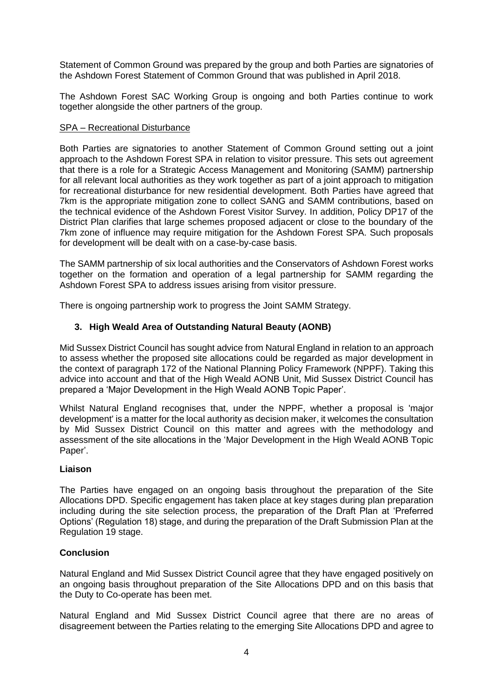Statement of Common Ground was prepared by the group and both Parties are signatories of the Ashdown Forest Statement of Common Ground that was published in April 2018.

The Ashdown Forest SAC Working Group is ongoing and both Parties continue to work together alongside the other partners of the group.

#### SPA – Recreational Disturbance

Both Parties are signatories to another Statement of Common Ground setting out a joint approach to the Ashdown Forest SPA in relation to visitor pressure. This sets out agreement that there is a role for a Strategic Access Management and Monitoring (SAMM) partnership for all relevant local authorities as they work together as part of a joint approach to mitigation for recreational disturbance for new residential development. Both Parties have agreed that 7km is the appropriate mitigation zone to collect SANG and SAMM contributions, based on the technical evidence of the Ashdown Forest Visitor Survey. In addition, Policy DP17 of the District Plan clarifies that large schemes proposed adjacent or close to the boundary of the 7km zone of influence may require mitigation for the Ashdown Forest SPA. Such proposals for development will be dealt with on a case-by-case basis.

The SAMM partnership of six local authorities and the Conservators of Ashdown Forest works together on the formation and operation of a legal partnership for SAMM regarding the Ashdown Forest SPA to address issues arising from visitor pressure.

There is ongoing partnership work to progress the Joint SAMM Strategy.

# **3. High Weald Area of Outstanding Natural Beauty (AONB)**

Mid Sussex District Council has sought advice from Natural England in relation to an approach to assess whether the proposed site allocations could be regarded as major development in the context of paragraph 172 of the National Planning Policy Framework (NPPF). Taking this advice into account and that of the High Weald AONB Unit, Mid Sussex District Council has prepared a 'Major Development in the High Weald AONB Topic Paper'.

Whilst Natural England recognises that, under the NPPF, whether a proposal is 'major development' is a matter for the local authority as decision maker, it welcomes the consultation by Mid Sussex District Council on this matter and agrees with the methodology and assessment of the site allocations in the 'Major Development in the High Weald AONB Topic Paper'.

## **Liaison**

The Parties have engaged on an ongoing basis throughout the preparation of the Site Allocations DPD. Specific engagement has taken place at key stages during plan preparation including during the site selection process, the preparation of the Draft Plan at 'Preferred Options' (Regulation 18) stage, and during the preparation of the Draft Submission Plan at the Regulation 19 stage.

## **Conclusion**

Natural England and Mid Sussex District Council agree that they have engaged positively on an ongoing basis throughout preparation of the Site Allocations DPD and on this basis that the Duty to Co-operate has been met.

Natural England and Mid Sussex District Council agree that there are no areas of disagreement between the Parties relating to the emerging Site Allocations DPD and agree to